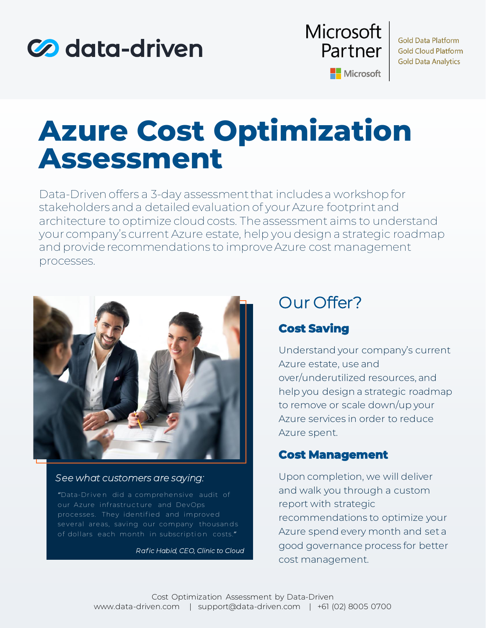



**Gold Data Platform Gold Cloud Platform Gold Data Analytics** 

Microsoft

# **Azure Cost Optimization Assessment**

Data-Driven offers a 3-day assessment that includes a workshop for stakeholders and a detailed evaluation of your Azure footprint and architecture to optimize cloud costs. The assessment aims to understand your company's current Azure estate, help you design a strategic roadmap and provide recommendations to improve Azure cost management processes.



#### *See what customers are saying:*

"Data-Driven did a comprehensive audit of our Azure infrastructure and DevOps processes. They identified and improved several areas, saving our company thousands of dollars each month in subscription costs."

*Raf ic Habid, CEO, Clinic to Cloud*

## Our Offer?

## **Cost Saving**

Understand your company's current Azure estate, use and over/underutilized resources, and help you design a strategic roadmap to remove or scale down/up your Azure services in order to reduce Azure spent.

### **Cost Management**

Upon completion, we will deliver and walk you through a custom report with strategic recommendations to optimize your Azure spend every month and set a good governance process for better cost management.